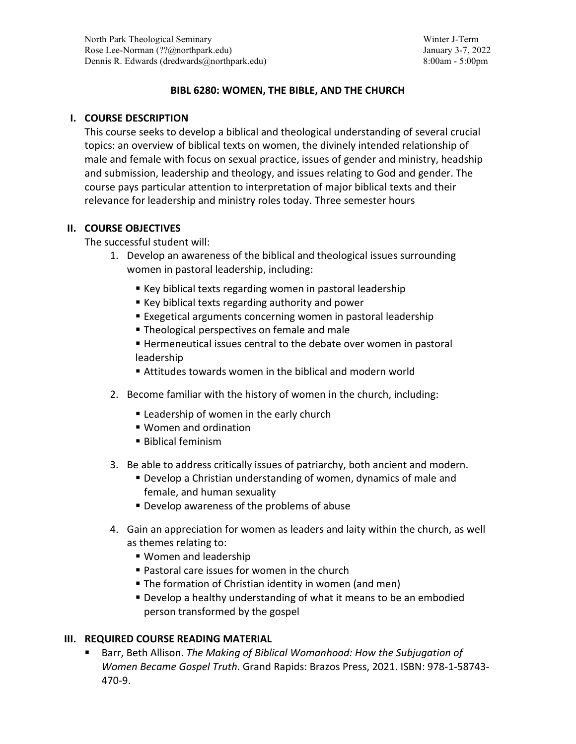# **BIBL 6280: WOMEN, THE BIBLE, AND THE CHURCH**

# **I. COURSE DESCRIPTION**

This course seeks to develop a biblical and theological understanding of several crucial topics: an overview of biblical texts on women, the divinely intended relationship of male and female with focus on sexual practice, issues of gender and ministry, headship and submission, leadership and theology, and issues relating to God and gender. The course pays particular attention to interpretation of major biblical texts and their relevance for leadership and ministry roles today. Three semester hours

## **II. COURSE OBJECTIVES**

The successful student will:

- 1. Develop an awareness of the biblical and theological issues surrounding women in pastoral leadership, including:
	- Key biblical texts regarding women in pastoral leadership
	- Key biblical texts regarding authority and power
	- Exegetical arguments concerning women in pastoral leadership
	- **Theological perspectives on female and male**
	- Hermeneutical issues central to the debate over women in pastoral leadership
	- Attitudes towards women in the biblical and modern world
- 2. Become familiar with the history of women in the church, including:
	- **Example 2** Leadership of women in the early church
	- Women and ordination
	- **Biblical feminism**
- 3. Be able to address critically issues of patriarchy, both ancient and modern.
	- Develop a Christian understanding of women, dynamics of male and female, and human sexuality
	- Develop awareness of the problems of abuse
- 4. Gain an appreciation for women as leaders and laity within the church, as well as themes relating to:
	- Women and leadership
	- Pastoral care issues for women in the church
	- **The formation of Christian identity in women (and men)**
	- Develop a healthy understanding of what it means to be an embodied person transformed by the gospel

# **III. REQUIRED COURSE READING MATERIAL**

 Barr, Beth Allison. *The Making of Biblical Womanhood: How the Subjugation of Women Became Gospel Truth*. Grand Rapids: Brazos Press, 2021. ISBN: 978-1-58743- 470-9.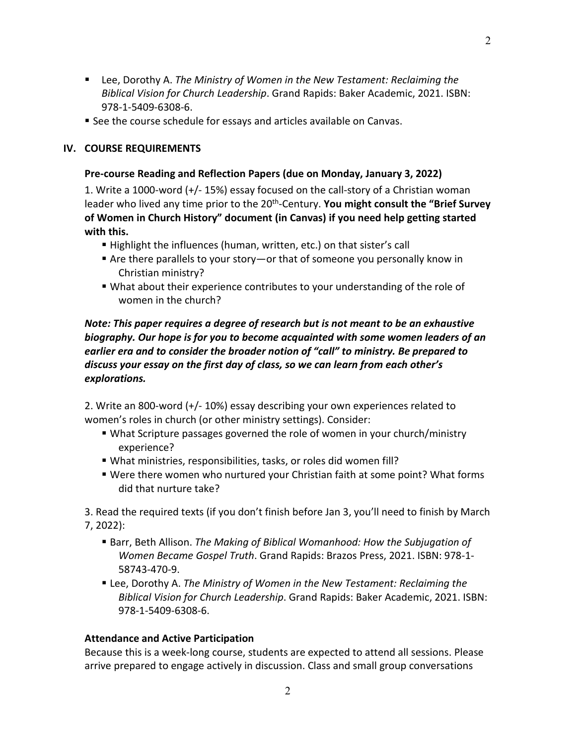- Lee, Dorothy A. *The Ministry of Women in the New Testament: Reclaiming the Biblical Vision for Church Leadership*. Grand Rapids: Baker Academic, 2021. ISBN: 978-1-5409-6308-6.
- See the course schedule for essays and articles available on Canvas.

### **IV. COURSE REQUIREMENTS**

### **Pre-course Reading and Reflection Papers (due on Monday, January 3, 2022)**

1. Write a 1000-word (+/- 15%) essay focused on the call-story of a Christian woman leader who lived any time prior to the 20<sup>th</sup>-Century. You might consult the "Brief Survey **of Women in Church History" document (in Canvas) if you need help getting started with this.**

- Highlight the influences (human, written, etc.) on that sister's call
- Are there parallels to your story—or that of someone you personally know in Christian ministry?
- What about their experience contributes to your understanding of the role of women in the church?

# *Note: This paper requires a degree of research but is not meant to be an exhaustive biography. Our hope is for you to become acquainted with some women leaders of an earlier era and to consider the broader notion of "call" to ministry. Be prepared to discuss your essay on the first day of class, so we can learn from each other's explorations.*

2. Write an 800-word (+/- 10%) essay describing your own experiences related to women's roles in church (or other ministry settings). Consider:

- What Scripture passages governed the role of women in your church/ministry experience?
- What ministries, responsibilities, tasks, or roles did women fill?
- Were there women who nurtured your Christian faith at some point? What forms did that nurture take?

3. Read the required texts (if you don't finish before Jan 3, you'll need to finish by March 7, 2022):

- Barr, Beth Allison. *The Making of Biblical Womanhood: How the Subjugation of Women Became Gospel Truth*. Grand Rapids: Brazos Press, 2021. ISBN: 978-1- 58743-470-9.
- Lee, Dorothy A. *The Ministry of Women in the New Testament: Reclaiming the Biblical Vision for Church Leadership*. Grand Rapids: Baker Academic, 2021. ISBN: 978-1-5409-6308-6.

### **Attendance and Active Participation**

Because this is a week-long course, students are expected to attend all sessions. Please arrive prepared to engage actively in discussion. Class and small group conversations

2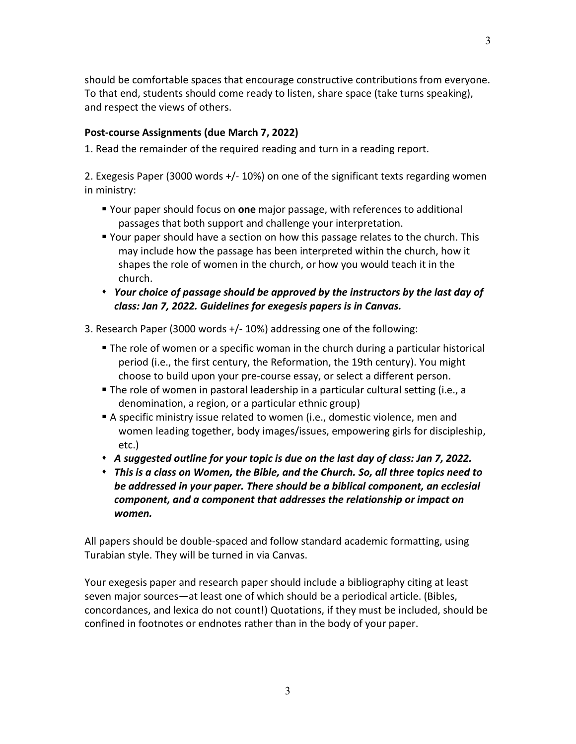should be comfortable spaces that encourage constructive contributions from everyone. To that end, students should come ready to listen, share space (take turns speaking), and respect the views of others.

# **Post-course Assignments (due March 7, 2022)**

1. Read the remainder of the required reading and turn in a reading report.

2. Exegesis Paper (3000 words +/- 10%) on one of the significant texts regarding women in ministry:

- Your paper should focus on **one** major passage, with references to additional passages that both support and challenge your interpretation.
- Your paper should have a section on how this passage relates to the church. This may include how the passage has been interpreted within the church, how it shapes the role of women in the church, or how you would teach it in the church.
- *Your choice of passage should be approved by the instructors by the last day of class: Jan 7, 2022. Guidelines for exegesis papers is in Canvas.*

3. Research Paper (3000 words +/- 10%) addressing one of the following:

- The role of women or a specific woman in the church during a particular historical period (i.e., the first century, the Reformation, the 19th century). You might choose to build upon your pre-course essay, or select a different person.
- The role of women in pastoral leadership in a particular cultural setting (i.e., a denomination, a region, or a particular ethnic group)
- A specific ministry issue related to women (i.e., domestic violence, men and women leading together, body images/issues, empowering girls for discipleship, etc.)
- *A suggested outline for your topic is due on the last day of class: Jan 7, 2022.*
- *This is a class on Women, the Bible, and the Church. So, all three topics need to be addressed in your paper. There should be a biblical component, an ecclesial component, and a component that addresses the relationship or impact on women.*

All papers should be double-spaced and follow standard academic formatting, using Turabian style. They will be turned in via Canvas.

Your exegesis paper and research paper should include a bibliography citing at least seven major sources—at least one of which should be a periodical article. (Bibles, concordances, and lexica do not count!) Quotations, if they must be included, should be confined in footnotes or endnotes rather than in the body of your paper.

3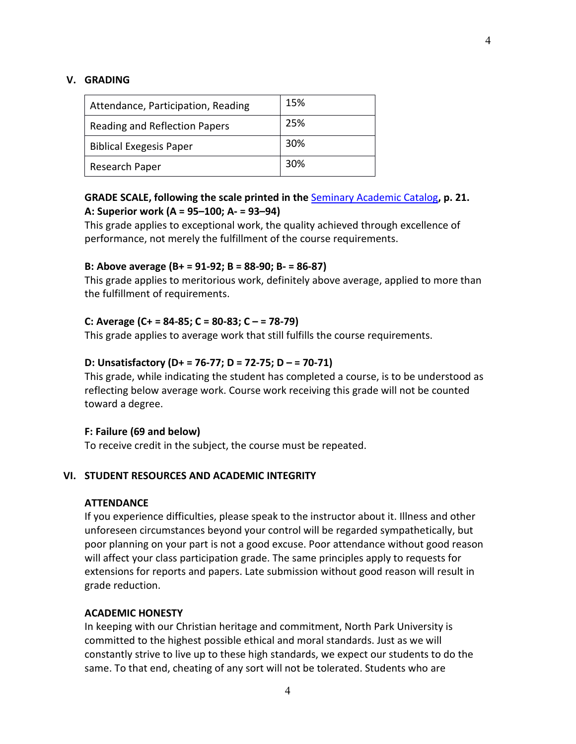#### **V. GRADING**

| Attendance, Participation, Reading | 15% |
|------------------------------------|-----|
| Reading and Reflection Papers      | 25% |
| <b>Biblical Exegesis Paper</b>     | 30% |
| Research Paper                     | 30% |

## **GRADE SCALE, following the scale printed in the** [Seminary Academic Catalog](https://assets.northpark.edu/wp-content/uploads/20180731102109/UMC-15340_Seminary_Academic_Catalog_2017-18-FINAL.pdf)**, p. 21. A: Superior work (A = 95–100; A- = 93–94)**

This grade applies to exceptional work, the quality achieved through excellence of performance, not merely the fulfillment of the course requirements.

### **B: Above average (B+ = 91-92; B = 88-90; B- = 86-87)**

This grade applies to meritorious work, definitely above average, applied to more than the fulfillment of requirements.

#### **C: Average (C+ = 84-85; C = 80-83; C – = 78-79)**

This grade applies to average work that still fulfills the course requirements.

#### **D: Unsatisfactory (D+ = 76-77; D = 72-75; D – = 70-71)**

This grade, while indicating the student has completed a course, is to be understood as reflecting below average work. Course work receiving this grade will not be counted toward a degree.

#### **F: Failure (69 and below)**

To receive credit in the subject, the course must be repeated.

### **VI. STUDENT RESOURCES AND ACADEMIC INTEGRITY**

### **ATTENDANCE**

If you experience difficulties, please speak to the instructor about it. Illness and other unforeseen circumstances beyond your control will be regarded sympathetically, but poor planning on your part is not a good excuse. Poor attendance without good reason will affect your class participation grade. The same principles apply to requests for extensions for reports and papers. Late submission without good reason will result in grade reduction.

#### **ACADEMIC HONESTY**

In keeping with our Christian heritage and commitment, North Park University is committed to the highest possible ethical and moral standards. Just as we will constantly strive to live up to these high standards, we expect our students to do the same. To that end, cheating of any sort will not be tolerated. Students who are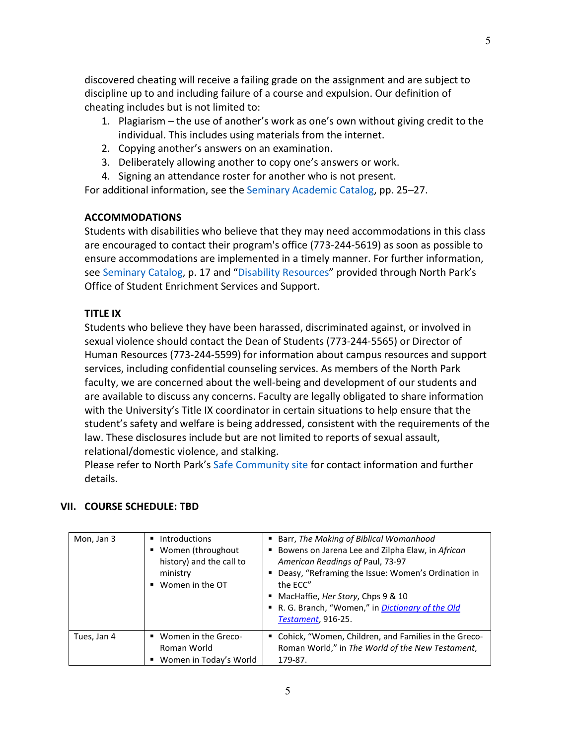discovered cheating will receive a failing grade on the assignment and are subject to discipline up to and including failure of a course and expulsion. Our definition of cheating includes but is not limited to:

- 1. Plagiarism the use of another's work as one's own without giving credit to the individual. This includes using materials from the internet.
- 2. Copying another's answers on an examination.
- 3. Deliberately allowing another to copy one's answers or work.
- 4. Signing an attendance roster for another who is not present.

For additional information, see the Seminary Academic Catalog, pp. 25–27.

## **ACCOMMODATIONS**

Students with disabilities who believe that they may need accommodations in this class are encouraged to contact their program's office (773-244-5619) as soon as possible to ensure accommodations are implemented in a timely manner. For further information, see Seminary Catalog, p. 17 and "Disability Resources" provided through North Park's Office of Student Enrichment Services and Support.

## **TITLE IX**

Students who believe they have been harassed, discriminated against, or involved in sexual violence should contact the Dean of Students (773-244-5565) or Director of Human Resources (773-244-5599) for information about campus resources and support services, including confidential counseling services. As members of the North Park faculty, we are concerned about the well-being and development of our students and are available to discuss any concerns. Faculty are legally obligated to share information with the University's Title IX coordinator in certain situations to help ensure that the student's safety and welfare is being addressed, consistent with the requirements of the law. These disclosures include but are not limited to reports of sexual assault, relational/domestic violence, and stalking.

Please refer to North Park's Safe Community site for contact information and further details.

## **VII. COURSE SCHEDULE: TBD**

| Mon, Jan 3  | Introductions<br>٠<br>Women (throughout<br>history) and the call to<br>ministry<br>Women in the OT | Barr, The Making of Biblical Womanhood<br><b>Bowens on Jarena Lee and Zilpha Elaw, in African</b><br>American Readings of Paul, 73-97<br>Deasy, "Reframing the Issue: Women's Ordination in<br>the ECC"<br>MacHaffie, Her Story, Chps 9 & 10<br>R. G. Branch, "Women," in <i>Dictionary of the Old</i><br><b>Testament, 916-25.</b> |
|-------------|----------------------------------------------------------------------------------------------------|-------------------------------------------------------------------------------------------------------------------------------------------------------------------------------------------------------------------------------------------------------------------------------------------------------------------------------------|
| Tues, Jan 4 | Women in the Greco-<br>Roman World<br>Women in Today's World                                       | ■ Cohick, "Women, Children, and Families in the Greco-<br>Roman World," in The World of the New Testament,<br>179-87.                                                                                                                                                                                                               |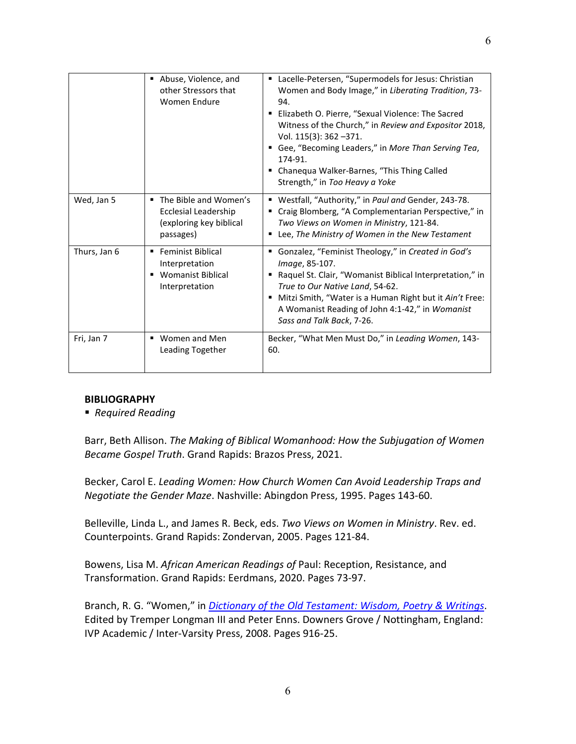|              | Abuse, Violence, and<br>٠<br>other Stressors that<br>Women Endure                              | Lacelle-Petersen, "Supermodels for Jesus: Christian<br>Women and Body Image," in Liberating Tradition, 73-<br>94.<br>Elizabeth O. Pierre, "Sexual Violence: The Sacred<br>Witness of the Church," in Review and Expositor 2018,<br>Vol. 115(3): 362 -371.<br>Gee, "Becoming Leaders," in More Than Serving Tea,<br>174-91.<br>• Chanequa Walker-Barnes, "This Thing Called<br>Strength," in Too Heavy a Yoke |
|--------------|------------------------------------------------------------------------------------------------|--------------------------------------------------------------------------------------------------------------------------------------------------------------------------------------------------------------------------------------------------------------------------------------------------------------------------------------------------------------------------------------------------------------|
| Wed, Jan 5   | ■ The Bible and Women's<br><b>Ecclesial Leadership</b><br>(exploring key biblical<br>passages) | " Westfall, "Authority," in Paul and Gender, 243-78.<br>Craig Blomberg, "A Complementarian Perspective," in<br>Two Views on Women in Ministry, 121-84.<br>Lee, The Ministry of Women in the New Testament                                                                                                                                                                                                    |
| Thurs, Jan 6 | ■ Feminist Biblical<br>Interpretation<br>■ Womanist Biblical<br>Interpretation                 | Gonzalez, "Feminist Theology," in Created in God's<br>Image, 85-107.<br>■ Raquel St. Clair, "Womanist Biblical Interpretation," in<br>True to Our Native Land, 54-62.<br>Mitzi Smith, "Water is a Human Right but it Ain't Free:<br>A Womanist Reading of John 4:1-42," in Womanist<br>Sass and Talk Back, 7-26.                                                                                             |
| Fri, Jan 7   | ■ Women and Men<br>Leading Together                                                            | Becker, "What Men Must Do," in Leading Women, 143-<br>60.                                                                                                                                                                                                                                                                                                                                                    |

### **BIBLIOGRAPHY**

*Required Reading*

Barr, Beth Allison. *The Making of Biblical Womanhood: How the Subjugation of Women Became Gospel Truth*. Grand Rapids: Brazos Press, 2021.

Becker, Carol E. *Leading Women: How Church Women Can Avoid Leadership Traps and Negotiate the Gender Maze*. Nashville: Abingdon Press, 1995. Pages 143-60.

Belleville, Linda L., and James R. Beck, eds. *Two Views on Women in Ministry*. Rev. ed. Counterpoints. Grand Rapids: Zondervan, 2005. Pages 121-84.

Bowens, Lisa M. *African American Readings of* Paul: Reception, Resistance, and Transformation. Grand Rapids: Eerdmans, 2020. Pages 73-97.

Branch, R. G. "Women," in *[Dictionary of the Old Testament: Wisdom, Poetry & Writings](https://web.a.ebscohost.com/ehost/detail/detail?vid=4&sid=1c1b275d-9b09-4a91-9fa7-e82c83e4839a%40sdc-v-sessmgr03&bdata=JkF1dGhUeXBlPXNoaWImc2l0ZT1laG9zdC1saXZlJnNjb3BlPXNpdGU%3d#AN=630319&db=nlebk)*. Edited by Tremper Longman III and Peter Enns. Downers Grove / Nottingham, England: IVP Academic / Inter-Varsity Press, 2008. Pages 916-25.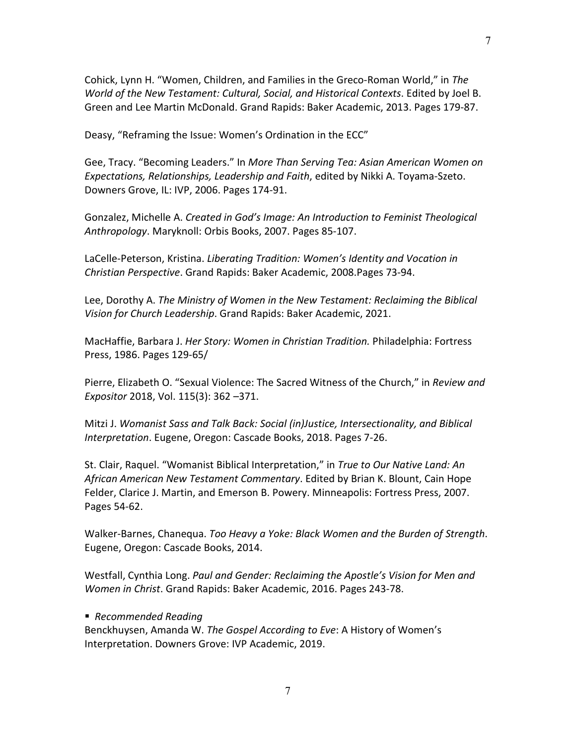Cohick, Lynn H. "Women, Children, and Families in the Greco-Roman World," in *The World of the New Testament: Cultural, Social, and Historical Contexts*. Edited by Joel B. Green and Lee Martin McDonald. Grand Rapids: Baker Academic, 2013. Pages 179-87.

Deasy, "Reframing the Issue: Women's Ordination in the ECC"

Gee, Tracy. "Becoming Leaders." In *More Than Serving Tea: Asian American Women on Expectations, Relationships, Leadership and Faith*, edited by Nikki A. Toyama-Szeto. Downers Grove, IL: IVP, 2006. Pages 174-91.

Gonzalez, Michelle A. *Created in God's Image: An Introduction to Feminist Theological Anthropology*. Maryknoll: Orbis Books, 2007. Pages 85-107.

LaCelle-Peterson, Kristina. *Liberating Tradition: Women's Identity and Vocation in Christian Perspective*. Grand Rapids: Baker Academic, 2008.Pages 73-94.

Lee, Dorothy A. *The Ministry of Women in the New Testament: Reclaiming the Biblical Vision for Church Leadership*. Grand Rapids: Baker Academic, 2021.

MacHaffie, Barbara J. *Her Story: Women in Christian Tradition.* Philadelphia: Fortress Press, 1986. Pages 129-65/

Pierre, Elizabeth O. "Sexual Violence: The Sacred Witness of the Church," in *Review and Expositor* 2018, Vol. 115(3): 362 –371.

Mitzi J. *Womanist Sass and Talk Back: Social (in)Justice, Intersectionality, and Biblical Interpretation*. Eugene, Oregon: Cascade Books, 2018. Pages 7-26.

St. Clair, Raquel. "Womanist Biblical Interpretation," in *True to Our Native Land: An African American New Testament Commentary*. Edited by Brian K. Blount, Cain Hope Felder, Clarice J. Martin, and Emerson B. Powery. Minneapolis: Fortress Press, 2007. Pages 54-62.

Walker-Barnes, Chanequa. *Too Heavy a Yoke: Black Women and the Burden of Strength*. Eugene, Oregon: Cascade Books, 2014.

Westfall, Cynthia Long. *Paul and Gender: Reclaiming the Apostle's Vision for Men and Women in Christ*. Grand Rapids: Baker Academic, 2016. Pages 243-78.

### *Recommended Reading*

Benckhuysen, Amanda W. *The Gospel According to Eve*: A History of Women's Interpretation. Downers Grove: IVP Academic, 2019.